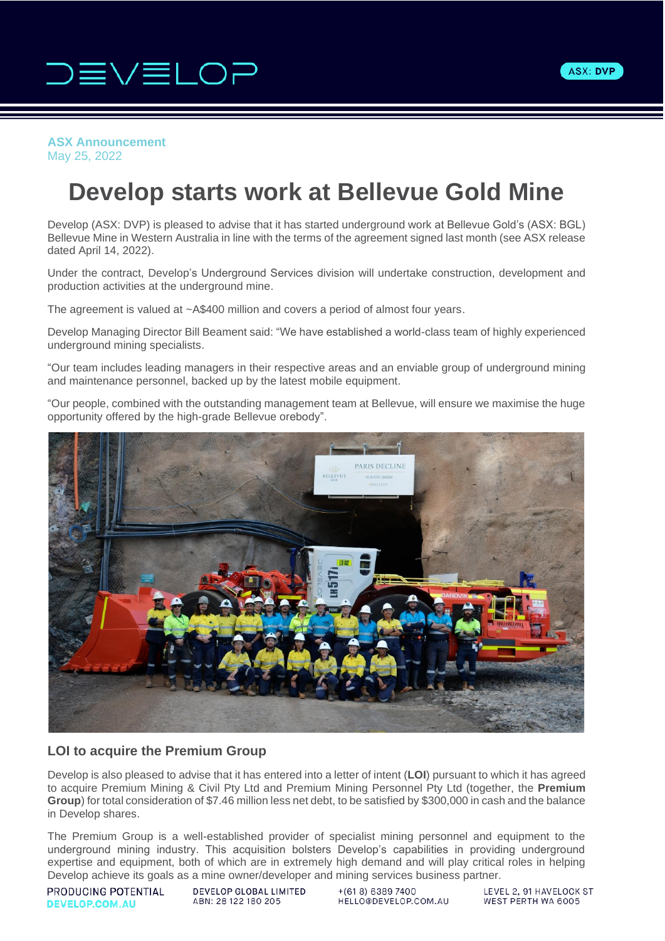



## **ASX Announcement** May 25, 2022

# **Develop starts work at Bellevue Gold Mine**

Develop (ASX: DVP) is pleased to advise that it has started underground work at Bellevue Gold's (ASX: BGL) Bellevue Mine in Western Australia in line with the terms of the agreement signed last month (see ASX release dated April 14, 2022).

Under the contract, Develop's Underground Services division will undertake construction, development and production activities at the underground mine.

The agreement is valued at ~A\$400 million and covers a period of almost four years.

Develop Managing Director Bill Beament said: "We have established a world-class team of highly experienced underground mining specialists.

"Our team includes leading managers in their respective areas and an enviable group of underground mining and maintenance personnel, backed up by the latest mobile equipment.

"Our people, combined with the outstanding management team at Bellevue, will ensure we maximise the huge opportunity offered by the high-grade Bellevue orebody".



# **LOI to acquire the Premium Group**

Develop is also pleased to advise that it has entered into a letter of intent (**LOI**) pursuant to which it has agreed to acquire Premium Mining & Civil Pty Ltd and Premium Mining Personnel Pty Ltd (together, the **Premium Group**) for total consideration of \$7.46 million less net debt, to be satisfied by \$300,000 in cash and the balance in Develop shares.

The Premium Group is a well-established provider of specialist mining personnel and equipment to the underground mining industry. This acquisition bolsters Develop's capabilities in providing underground expertise and equipment, both of which are in extremely high demand and will play critical roles in helping Develop achieve its goals as a mine owner/developer and mining services business partner.

PRODUCING POTENTIAL **DEVELOP.COM.AU** 

DEVELOP GLOBAL LIMITED ABN: 28 122 180 205

 $+(618) 6389 7400$ HELLO@DEVELOP.COM.AU

LEVEL 2, 91 HAVELOCK ST WEST PERTH WA 6005